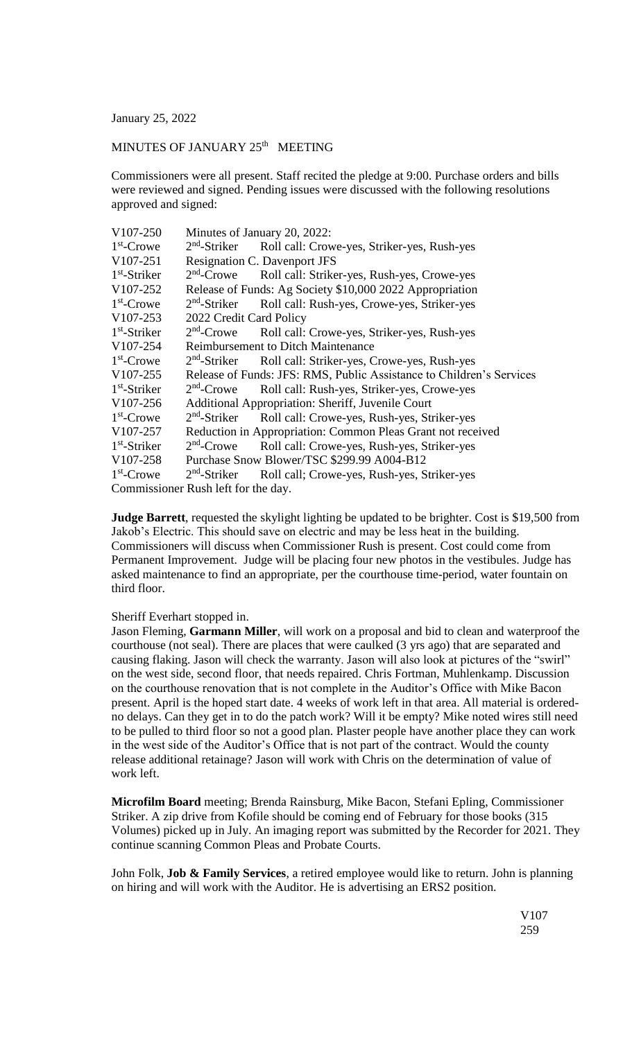January 25, 2022

## MINUTES OF JANUARY 25<sup>th</sup> MEETING

Commissioners were all present. Staff recited the pledge at 9:00. Purchase orders and bills were reviewed and signed. Pending issues were discussed with the following resolutions approved and signed:

| V107-250       | Minutes of January 20, 2022:                                         |                                                                      |  |
|----------------|----------------------------------------------------------------------|----------------------------------------------------------------------|--|
| $1st$ -Crowe   |                                                                      | 2 <sup>nd</sup> -Striker Roll call: Crowe-yes, Striker-yes, Rush-yes |  |
| V107-251       | Resignation C. Davenport JFS                                         |                                                                      |  |
| $1st$ -Striker | $2nd$ -Crowe                                                         | Roll call: Striker-yes, Rush-yes, Crowe-yes                          |  |
| V107-252       | Release of Funds: Ag Society \$10,000 2022 Appropriation             |                                                                      |  |
| $1st$ -Crowe   | $2nd$ -Striker                                                       | Roll call: Rush-yes, Crowe-yes, Striker-yes                          |  |
| V107-253       | 2022 Credit Card Policy                                              |                                                                      |  |
| $1st$ -Striker | $2nd$ -Crowe                                                         | Roll call: Crowe-yes, Striker-yes, Rush-yes                          |  |
| V107-254       | <b>Reimbursement to Ditch Maintenance</b>                            |                                                                      |  |
| $1st$ -Crowe   | $2nd$ -Striker                                                       | Roll call: Striker-yes, Crowe-yes, Rush-yes                          |  |
| V107-255       | Release of Funds: JFS: RMS, Public Assistance to Children's Services |                                                                      |  |
| $1st$ -Striker | $2nd$ -Crowe                                                         | Roll call: Rush-yes, Striker-yes, Crowe-yes                          |  |
| V107-256       | Additional Appropriation: Sheriff, Juvenile Court                    |                                                                      |  |
| $1st$ -Crowe   | $2nd$ -Striker                                                       | Roll call: Crowe-yes, Rush-yes, Striker-yes                          |  |
| V107-257       | Reduction in Appropriation: Common Pleas Grant not received          |                                                                      |  |
| $1st$ -Striker | $2nd$ -Crowe                                                         | Roll call: Crowe-yes, Rush-yes, Striker-yes                          |  |
| V107-258       | Purchase Snow Blower/TSC \$299.99 A004-B12                           |                                                                      |  |
| $1st$ -Crowe   | $2nd$ -Striker                                                       | Roll call; Crowe-yes, Rush-yes, Striker-yes                          |  |
|                | $\sim$ D., 1. 1. $\Omega$ , $\Gamma$ , 4. 1. 1. 1.                   |                                                                      |  |

Commissioner Rush left for the day.

**Judge Barrett**, requested the skylight lighting be updated to be brighter. Cost is \$19,500 from Jakob's Electric. This should save on electric and may be less heat in the building. Commissioners will discuss when Commissioner Rush is present. Cost could come from Permanent Improvement. Judge will be placing four new photos in the vestibules. Judge has asked maintenance to find an appropriate, per the courthouse time-period, water fountain on third floor.

## Sheriff Everhart stopped in.

Jason Fleming, **Garmann Miller**, will work on a proposal and bid to clean and waterproof the courthouse (not seal). There are places that were caulked (3 yrs ago) that are separated and causing flaking. Jason will check the warranty. Jason will also look at pictures of the "swirl" on the west side, second floor, that needs repaired. Chris Fortman, Muhlenkamp. Discussion on the courthouse renovation that is not complete in the Auditor's Office with Mike Bacon present. April is the hoped start date. 4 weeks of work left in that area. All material is orderedno delays. Can they get in to do the patch work? Will it be empty? Mike noted wires still need to be pulled to third floor so not a good plan. Plaster people have another place they can work in the west side of the Auditor's Office that is not part of the contract. Would the county release additional retainage? Jason will work with Chris on the determination of value of work left.

**Microfilm Board** meeting; Brenda Rainsburg, Mike Bacon, Stefani Epling, Commissioner Striker. A zip drive from Kofile should be coming end of February for those books (315 Volumes) picked up in July. An imaging report was submitted by the Recorder for 2021. They continue scanning Common Pleas and Probate Courts.

John Folk, **Job & Family Services**, a retired employee would like to return. John is planning on hiring and will work with the Auditor. He is advertising an ERS2 position.